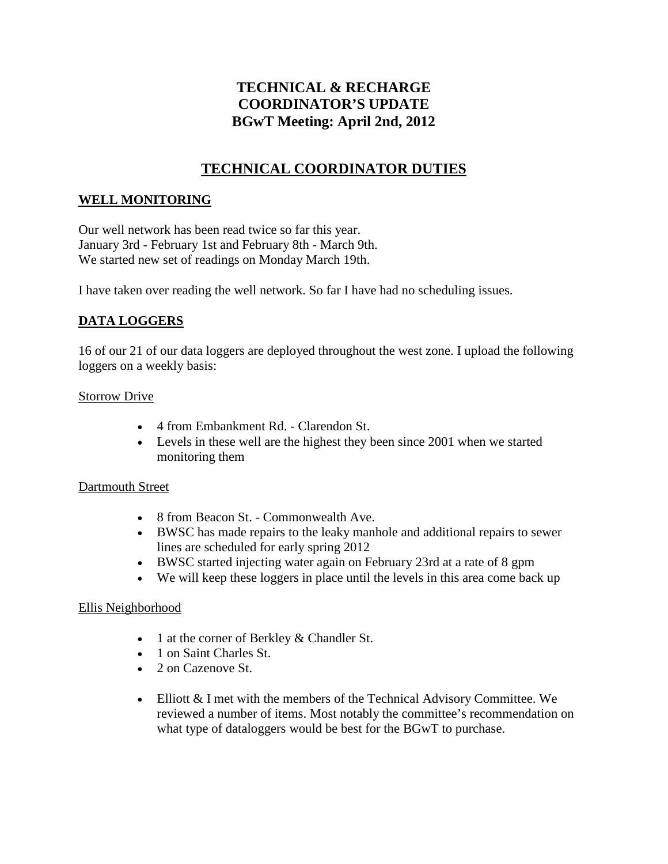# **TECHNICAL & RECHARGE COORDINATOR'S UPDATE BGwT Meeting: April 2nd, 2012**

# **TECHNICAL COORDINATOR DUTIES**

### **WELL MONITORING**

Our well network has been read twice so far this year. January 3rd - February 1st and February 8th - March 9th. We started new set of readings on Monday March 19th.

I have taken over reading the well network. So far I have had no scheduling issues.

## **DATA LOGGERS**

16 of our 21 of our data loggers are deployed throughout the west zone. I upload the following loggers on a weekly basis:

#### Storrow Drive

- 4 from Embankment Rd. Clarendon St.
- Levels in these well are the highest they been since 2001 when we started monitoring them

#### Dartmouth Street

- 8 from Beacon St. Commonwealth Ave.
- BWSC has made repairs to the leaky manhole and additional repairs to sewer lines are scheduled for early spring 2012
- BWSC started injecting water again on February 23rd at a rate of 8 gpm
- We will keep these loggers in place until the levels in this area come back up

#### Ellis Neighborhood

- 1 at the corner of Berkley & Chandler St.
- 1 on Saint Charles St.
- 2 on Cazenove St.
- Elliott & I met with the members of the Technical Advisory Committee. We reviewed a number of items. Most notably the committee's recommendation on what type of dataloggers would be best for the BGwT to purchase.